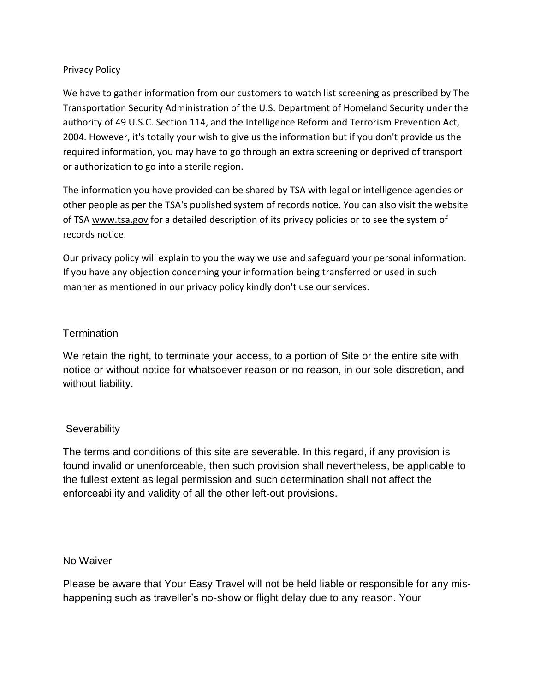## Privacy Policy

We have to gather information from our customers to watch list screening as prescribed by The Transportation Security Administration of the U.S. Department of Homeland Security under the authority of 49 U.S.C. Section 114, and the Intelligence Reform and Terrorism Prevention Act, 2004. However, it's totally your wish to give us the information but if you don't provide us the required information, you may have to go through an extra screening or deprived of transport or authorization to go into a sterile region.

The information you have provided can be shared by TSA with legal or intelligence agencies or other people as per the TSA's published system of records notice. You can also visit the website of TSA [www.tsa.gov](http://www.tsa.gov/) for a detailed description of its privacy policies or to see the system of records notice.

Our privacy policy will explain to you the way we use and safeguard your personal information. If you have any objection concerning your information being transferred or used in such manner as mentioned in our privacy policy kindly don't use our services.

## **Termination**

We retain the right, to terminate your access, to a portion of Site or the entire site with notice or without notice for whatsoever reason or no reason, in our sole discretion, and without liability.

## **Severability**

The terms and conditions of this site are severable. In this regard, if any provision is found invalid or unenforceable, then such provision shall nevertheless, be applicable to the fullest extent as legal permission and such determination shall not affect the enforceability and validity of all the other left-out provisions.

## No Waiver

Please be aware that Your Easy Travel will not be held liable or responsible for any mishappening such as traveller's no-show or flight delay due to any reason. Your